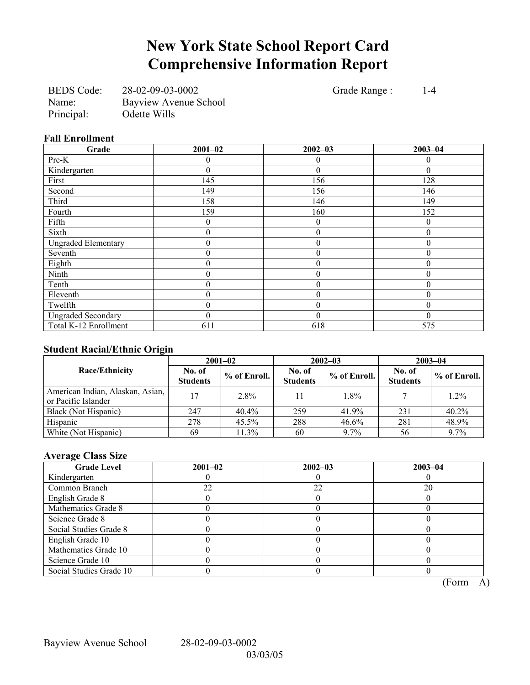# **New York State School Report Card Comprehensive Information Report**

BEDS Code: 28-02-09-03-0002 Grade Range : 1-4 Name: Bayview Avenue School Principal: Odette Wills

## **Fall Enrollment**

| Grade                      | $2001 - 02$ | $2002 - 03$      | $2003 - 04$ |
|----------------------------|-------------|------------------|-------------|
| Pre-K                      |             | $\theta$         | 0           |
| Kindergarten               | 0           | $\theta$         | $\Omega$    |
| First                      | 145         | 156              | 128         |
| Second                     | 149         | 156              | 146         |
| Third                      | 158         | 146              | 149         |
| Fourth                     | 159         | 160              | 152         |
| Fifth                      | 0           | $\mathbf{0}$     | $\Omega$    |
| Sixth                      | 0           | $\theta$         | $\theta$    |
| <b>Ungraded Elementary</b> | 0           | $\boldsymbol{0}$ | 0           |
| Seventh                    | 0           | $\theta$         | 0           |
| Eighth                     | 0           | $\theta$         | 0           |
| Ninth                      | 0           | $\boldsymbol{0}$ |             |
| Tenth                      | 0           | $\boldsymbol{0}$ | $\Omega$    |
| Eleventh                   | 0           | $\theta$         | 0           |
| Twelfth                    | 0           | $\theta$         | 0           |
| <b>Ungraded Secondary</b>  | 0           | $\theta$         | 0           |
| Total K-12 Enrollment      | 611         | 618              | 575         |

## **Student Racial/Ethnic Origin**

|                                                         |                           | $2001 - 02$  | $2002 - 03$               |              | $2003 - 04$               |              |
|---------------------------------------------------------|---------------------------|--------------|---------------------------|--------------|---------------------------|--------------|
| <b>Race/Ethnicity</b>                                   | No. of<br><b>Students</b> | % of Enroll. | No. of<br><b>Students</b> | % of Enroll. | No. of<br><b>Students</b> | % of Enroll. |
| American Indian, Alaskan, Asian,<br>or Pacific Islander | 17                        | 2.8%         | 11                        | 1.8%         |                           | $1.2\%$      |
| Black (Not Hispanic)                                    | 247                       | $40.4\%$     | 259                       | 41.9%        | 231                       | 40.2%        |
| Hispanic                                                | 278                       | $45.5\%$     | 288                       | 46.6%        | 281                       | 48.9%        |
| White (Not Hispanic)                                    | 69                        | 11.3%        | 60                        | 9.7%         | 56                        | 9.7%         |

## **Average Class Size**

| <b>Grade Level</b>      | $2001 - 02$ | $2002 - 03$ | $2003 - 04$ |
|-------------------------|-------------|-------------|-------------|
| Kindergarten            |             |             |             |
| Common Branch           | 22          | 22          | 20          |
| English Grade 8         |             |             |             |
| Mathematics Grade 8     |             |             |             |
| Science Grade 8         |             |             |             |
| Social Studies Grade 8  |             |             |             |
| English Grade 10        |             |             |             |
| Mathematics Grade 10    |             |             |             |
| Science Grade 10        |             |             |             |
| Social Studies Grade 10 |             |             |             |

 $\overline{(Form - A)}$ 

Bayview Avenue School 28-02-09-03-0002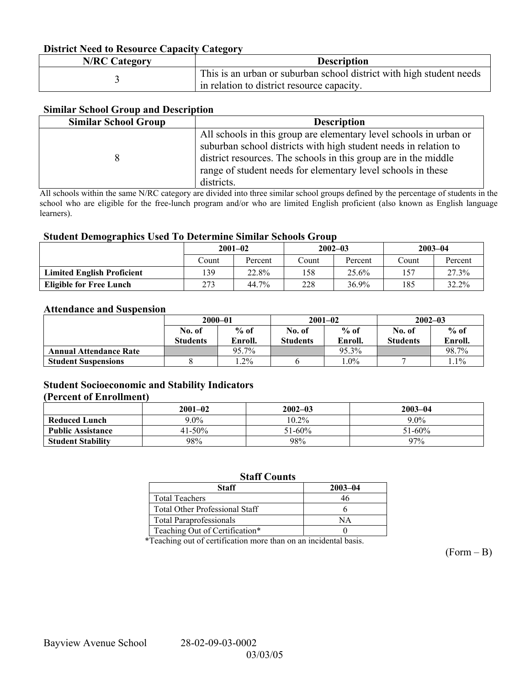## **District Need to Resource Capacity Category**

| <b>N/RC Category</b> | <b>Description</b>                                                                                                 |
|----------------------|--------------------------------------------------------------------------------------------------------------------|
|                      | This is an urban or suburban school district with high student needs<br>in relation to district resource capacity. |

## **Similar School Group and Description**

| <b>Similar School Group</b> | <b>Description</b>                                                                                                                                                                                                                                                                      |
|-----------------------------|-----------------------------------------------------------------------------------------------------------------------------------------------------------------------------------------------------------------------------------------------------------------------------------------|
|                             | All schools in this group are elementary level schools in urban or<br>suburban school districts with high student needs in relation to<br>district resources. The schools in this group are in the middle<br>range of student needs for elementary level schools in these<br>districts. |

All schools within the same N/RC category are divided into three similar school groups defined by the percentage of students in the school who are eligible for the free-lunch program and/or who are limited English proficient (also known as English language learners).

#### **Student Demographics Used To Determine Similar Schools Group**

|                                   | $2001 - 02$ |         | $2002 - 03$ |          | $2003 - 04$ |          |
|-----------------------------------|-------------|---------|-------------|----------|-------------|----------|
|                                   | Count       | Percent | .`ount      | Percent  | Count       | Percent  |
| <b>Limited English Proficient</b> | 139         | 22.8%   | 158         | 25.6%    | 57ء         | 27.3%    |
| <b>Eligible for Free Lunch</b>    | 273         | 44.7%   | 228         | $36.9\%$ | 185         | $32.2\%$ |

#### **Attendance and Suspension**

|                               | $2000 - 01$               |                   |                           | $2001 - 02$       | $2002 - 03$               |                   |
|-------------------------------|---------------------------|-------------------|---------------------------|-------------------|---------------------------|-------------------|
|                               | No. of<br><b>Students</b> | $%$ of<br>Enroll. | No. of<br><b>Students</b> | $%$ of<br>Enroll. | No. of<br><b>Students</b> | $%$ of<br>Enroll. |
| <b>Annual Attendance Rate</b> |                           | 95.7%             |                           | 95.3%             |                           | 98.7%             |
| <b>Student Suspensions</b>    |                           | $.2\%$            |                           | $.0\%$            |                           | $1.1\%$           |

## **Student Socioeconomic and Stability Indicators**

#### **(Percent of Enrollment)**

|                          | $2001 - 02$ | $2002 - 03$ | $2003 - 04$ |
|--------------------------|-------------|-------------|-------------|
| <b>Reduced Lunch</b>     | $9.0\%$     | $10.2\%$    | $9.0\%$     |
| <b>Public Assistance</b> | 41-50%      | $51 - 60\%$ | $51 - 60\%$ |
| <b>Student Stability</b> | 98%         | 98%         | 97%         |

## **Staff Counts**

| Staff                                 | $2003 - 04$ |
|---------------------------------------|-------------|
| <b>Total Teachers</b>                 |             |
| <b>Total Other Professional Staff</b> |             |
| <b>Total Paraprofessionals</b>        | NА          |
| Teaching Out of Certification*        |             |

\*Teaching out of certification more than on an incidental basis.

 $(Form - B)$